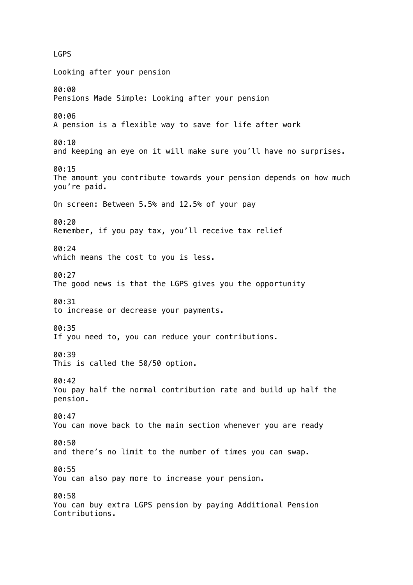LGPS Looking after your pension 00:00 Pensions Made Simple: Looking after your pension 00:06 A pension is a flexible way to save for life after work 00:10 and keeping an eye on it will make sure you'll have no surprises. 00:15 The amount you contribute towards your pension depends on how much you're paid. On screen: Between 5.5% and 12.5% of your pay 00:20 Remember, if you pay tax, you'll receive tax relief 00:24 which means the cost to you is less. 00:27 The good news is that the LGPS gives you the opportunity 00:31 to increase or decrease your payments. 00:35 If you need to, you can reduce your contributions. 00:39 This is called the 50/50 option. 00:42 You pay half the normal contribution rate and build up half the pension. 00:47 You can move back to the main section whenever you are ready 00:50 and there's no limit to the number of times you can swap. 00:55 You can also pay more to increase your pension. 00:58 You can buy extra LGPS pension by paying Additional Pension Contributions.